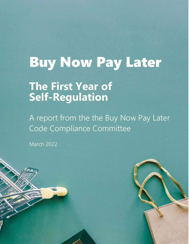# Buy Now Pay Later

# **The First Year of Self-Regulation**

A report from the the Buy Now Pay Later Code Compliance Committee

March 2022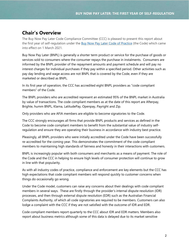#### **Chair's Overview**

The Buy Now Pay Later Code Compliance Committee (CCC) is pleased to present this report about the first year of self-regulation under the [Buy Now Pay Later Code of Practice](https://afia.asn.au/files/galleries/AFIA_Code_of_Practice_for_Buy_Now_Pay_Later_Providers.pdf) (the Code) which came into effect on 1 March 2021.

Buy Now Pay Later (BNPL) is generally a shorter term product or service for the purchase of goods or services sold to consumers where the consumer repays the purchase in instalments. Consumers are informed by the BNPL provider of the repayment amounts and payment schedule and will pay no interest charges for individual purchases if they pay within a specified period. Other activities such as pay day lending and wage access are not BNPL that is covered by the Code, even if they are marketed or described as BNPL.

In its first year of operation, the CCC has accredited eight BNPL providers as "code compliant members" of the Code.

The BNPL providers who are accredited represent an estimated 95% of the BNPL market in Australia by value of transactions. The code compliant members as at the date of this report are Afterpay, Brighte, humm BNPL, Klarna, LatitudePay, Openpay, Payright and Zip.

Only providers who are AFIA members are eligible to become signatories to the Code.

The CCC strongly encourages all firms that provide BNPL products and services as defined in the Code to become code compliant members to benefit from the substantial value of industry selfregulation and ensure they are operating their business in accordance with industry best practice.

Pleasingly, all BNPL providers who were initially accredited under the Code have been successfully re-accredited for the coming year. This demonstrates the commitment of the code compliant members to maintaining high standards of fairness and honesty in their interactions with customers.

BNPL is increasingly popular with both consumers and merchants as a means of payment. The role of the Code and the CCC in helping to ensure high levels of consumer protection will continue to grow in line with that popularity.

As with all industry codes of practice, compliance and enforcement are key elements but the CCC has high expectations that code compliant members will respond quickly to customer concerns when things do occasionally go wrong.

Under the Code model, customers can raise any concerns about their dealings with code compliant members in several ways. These are firstly through the provider's internal dispute resolution (IDR) processes, and then through external dispute resolution (EDR) such as the Australian Financial Complaints Authority, of which all code signatories are required to be members. Customers can also lodge a complaint with the CCC if they are not satisfied with the outcome of IDR and EDR.

Code compliant members report quarterly to the CCC about IDR and EDR matters. Members also report about business metrics although some of this data is delayed due to its market sensitive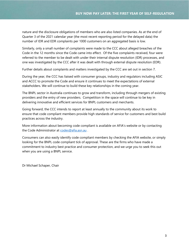nature and the disclosure obligations of members who are also listed companies. As at the end of Quarter 3 of the 2021 calendar year (the most recent reporting period for the delayed data) the number of IDR and EDR complaints per 1000 customers on an aggregated basis is low.

Similarly, only a small number of complaints were made to the CCC about alleged breaches of the Code in the 12 months since the Code came into effect. Of the five complaints received, four were referred to the member to be dealt with under their internal dispute resolution (IDR) processes, and one was investigated by the CCC after it was dealt with through external dispute resolution (EDR).

Further details about complaints and matters investigated by the CCC are set out in section 7.

During the year, the CCC has liaised with consumer groups, industry and regulators including ASIC and ACCC to promote the Code and ensure it continues to meet the expectations of external stakeholders. We will continue to build these key relationships in the coming year.

The BNPL sector in Australia continues to grow and transform, including through mergers of existing providers and the entry of new providers. Competition in the space will continue to be key in delivering innovative and efficient services for BNPL customers and merchants.

Going forward, the CCC intends to report at least annually to the community about its work to ensure that code compliant members provide high standards of service for customers and best build practices across the industry.

More information about becoming code compliant is available on AFIA's website or by contacting the Code Administrator at [codes@afia.asn.au](mailto:codes@afia.asn.au) .

Consumers can also easily identify code compliant members by checking the AFIA website, or simply looking for the BNPL code compliant tick of approval. These are the firms who have made a commitment to industry best practice and consumer protection, and we urge you to seek this out when you are using a BNPL service.

Dr Michael Schaper, Chair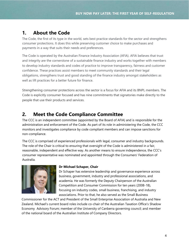# **1. About the Code**

The Code, the first of its type in the world, sets best practice standards for the sector and strengthens consumer protections. It does this while preserving customer choice to make purchases and payments in a way that suits their needs and preferences.

The Code is operated by the Australian Finance Industry Association (AFIA). AFIA believes that trust and integrity are the cornerstone of a sustainable finance industry and works together with members to develop industry standards and codes of practice to improve transparency, fairness and customer confidence. These practices assist members to meet community standards and their legal obligations, strengthens trust and good standing of the finance industry amongst stakeholders as well as lift practices for a better future for finance.

Strengthening consumer protections across the sector is a focus for AFIA and its BNPL members. The Code is explicitly consumer focused and has nine commitments that signatories make directly to the people that use their products and services.

# **2. Meet the Code Compliance Committee**

The CCC is an independent committee (appointed by the Board of AFIA) and is responsible for the administration and enforcement of the Code. As part of its role in administering the Code, the CCC monitors and investigates compliance by code compliant members and can impose sanctions for non-compliance.

The CCC is comprised of experienced professionals with legal, consumer and industry backgrounds. The role of the Chair is critical to ensuring that oversight of the Code is administered in a fair, reasonable, independent and effective way. As another means to ensure independence, the CCC's consumer representative was nominated and appointed through the Consumers' Federation of Australia.



#### **Dr Michael Schaper, Chair**

Dr Schaper has extensive leadership and governance experience across business, government, industry and professional associations, and academia. He was formerly the Deputy Chairperson of the Australian Competition and Consumer Commission for ten years (2008-18), focusing on industry codes, small business, franchising, and industry associations. Prior to that, he also served as the Small Business

Commissioner for the ACT and President of the Small Enterprise Association of Australia and New Zealand. Michael's current board roles include co-chair of the Australian Taxation Office's Shadow Economy Advisory Forum; member of the University of Canberra governing council; and member of the national board of the Australian Institute of Company Directors.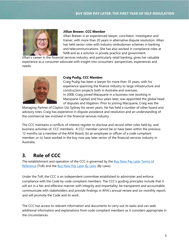

#### **Jillian Brewer, CCC Member**

Jillian Brewer is an experienced lawyer, conciliator, investigator and trainer, with more than 20 years in alternative dispute resolution. Jillian has held senior roles with industry ombudsman schemes in banking and telecommunications. She has also worked in compliance roles at NAB and as a solicitor in private practice and government.

Jillian's career in the financial services industry, and particularly retail banking, gives her valuable experience as a consumer advocate with insight into consumers' perspectives, experiences and needs.



#### **Craig Pudig, CCC Member**

Craig Pudig has been a lawyer for more than 35 years, with his experience spanning the finance industry to large infrastructure and construction projects both in Australia and overseas. In 2008, Craig joined Macquarie in a business role (working in Macquarie Capital) and four years later, was appointed the global head of disputes and litigation. Prior to joining Macquarie, Craig was the

Managing Partner of Clayton Utz Sydney for seven years. He has held a number of other board and advisory roles. Craig has experience in dispute avoidance and resolution and an understanding of the commercial law involved in the financial services industry.

The CCC maintains a conflicts of interest register to disclose and record other roles held by, and business activities of, CCC members. A CCC member cannot be or have been within the previous 12 months (a) a member of the AFIA Board; (b) an employee or officer of a code compliant member; or (c) have worked in the buy now pay later sector of the financial services industry in Australia.

### **3. Role of CCC**

The establishment and operation of the CCC is governed by the Buy Now Pay Later Terms of [Reference](https://afia.asn.au/files/galleries/AFIA_BNPL_Code_of_Practice_Terms_of_Reference.pdf) (ToR) and the [Buy Now Pay Later By Laws](https://afia.asn.au/files/galleries/AFIA_BNPL_Code_of_Practice_By-Laws.pdf) (By Laws).

Under the ToR, the CCC is an independent committee established to administer and enforce compliance with the Code by code compliant members. The CCC's guiding principles include that it will act in a fair and effective manner with integrity and impartiality; be transparent and accountable; communicate with stakeholders and provide findings in AFIA's annual review and six-monthly report; and will promote the Code and its work.

The CCC has access to relevant information and documents to carry out its tasks and can seek additional information and explanations from code compliant members as it considers appropriate in the circumstances.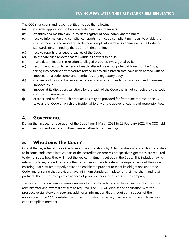The CCC's functions and responsibilities include the following:

- (a) consider applications to become code compliant members
- (b) establish and maintain an up-to-date register of code compliant members
- (c) receive information and compliance reports from code compliant members, to enable the CCC to monitor and report on each code compliant member's adherence to the Code to standards determined by the CCC from time to time;
- (d) receive reports of alleged breaches of the Code;
- (e) investigate such reports that fall within its powers to do so;
- (f) make determinations in relation to alleged breaches investigated by it;
- (g) recommend action to remedy a breach, alleged breach or potential breach of the Code, taking into account any measures related to any such breach that have been agreed with or imposed on a code compliant member by any regulatory body;
- (h) oversee and monitor the implementation of any recommendation or any agreed measures imposed by it;
- (i) impose, at its discretion, sanctions for a breach of the Code that is not corrected by the code compliant member; and
- (j) exercise and perform such other acts as may be provided for from time to time in the By-Laws and or Code or which are incidental to any of the above functions and responsibilities.

#### **4. Governance**

During the first year of operation of the Code from 1 March 2021 to 28 February 2022, the CCC held eight meetings and each committee member attended all meetings.

### **5. Who Joins the Code?**

One of the key roles of the CCC is to examine applications by AFIA members who are BNPL providers to become code compliant. As part of the accreditation process prospective signatories are required to demonstrate how they will meet the key commitments set out in the Code. This includes having relevant policies, procedures and other resources in place to satisfy the requirements of the Code, ensuring that staff are properly trained to enable the provider to meet its obligations under the Code, and ensuring that providers have minimum standards in place for their merchant and retail partners. The CCC also requires evidence of probity checks for officers of the company.

The CCC conducts a comprehensive review of applications for accreditation, assisted by the code administrator and external advisers as required. The CCC will discuss the application with the prospective signatory and seek any additional information that it requires in support of the application. If the CCC is satisfied with the information provided, it will accredit the applicant as a code compliant member.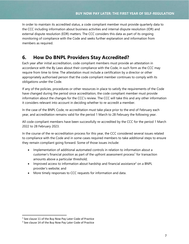In order to maintain its accredited status, a code compliant member must provide quarterly data to the CCC including information about business activities and internal dispute resolution (IDR) and external dispute resolution (EDR) matters. The CCC considers this data as part of its ongoing monitoring of compliance with the Code and seeks further explanation and information from members as required.

# **6. How Do BNPL Providers Stay Accredited?**

Each year after initial accreditation, code compliant members must provide an attestation in accordance with the By Laws about their compliance with the Code, in such form as the CCC may require from time to time. The attestation must include a certification by a director or other appropriately authorised person that the code compliant member continues to comply with its obligations under the Code.

If any of the policies, procedures or other resources in place to satisfy the requirements of the Code have changed during the period since accreditation, the code compliant member must provide information about the changes for the CCC's review. The CCC will take this and any other information it considers relevant into account in deciding whether to re-accredit a member.

In the case of the BNPL Code, re-accreditation must take place prior to the end of February each year, and accreditation remains valid for the period 1 March to 28 February the following year.

All code compliant members have been successfully re-accredited by the CCC for the period 1 March 2022 to 28 February 2023.

In the course of the re-accreditation process for this year, the CCC considered several issues related to compliance with the Code and in some cases required members to take additional steps to ensure they remain compliant going forward. Some of those issues include:

- Implementation of additional automated controls in relation to information about a customer's financial position as part of the upfront assessment process<sup>1</sup> for transaction amounts above a particular threshold;
- Improved access to information about hardship and financial assistance<sup>2</sup> on a BNPL provider's website; and
- More timely responses to CCC requests for information and data.

<sup>&</sup>lt;sup>1</sup> See clause 11 of the Buy Now Pay Later Code of Practice

<sup>&</sup>lt;sup>2</sup> See clause 14 of the Buy Now Pay Later Code of Practice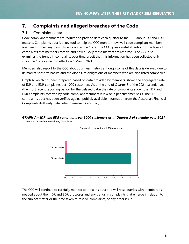## **7. Complaints and alleged breaches of the Code**

#### 7.1 Complaints data

Code compliant members are required to provide data each quarter to the CCC about IDR and EDR matters. Complaints data is a key tool to help the CCC monitor how well code compliant members are meeting their key commitments under the Code. The CCC gives careful attention to the level of complaints that members receive and how quickly these matters are resolved. The CCC also examines the trends in complaints over time, albeit that this information has been collected only since the Code came into effect on 1 March 2021.

Members also report to the CCC about business metrics although some of this data is delayed due to its market sensitive nature and the disclosure obligations of members who are also listed companies.

Graph A, which has been prepared based on data provided by members, shows the aggregated rate of IDR and EDR complaints per 1000 customers. As at the end of Quarter 3 of the 2021 calendar year (the most recent reporting period for the delayed data) the rate of complaints shows that IDR and EDR complaints received by code compliant members is low on a per customer basis. The EDR complaints data has been verified against publicly available information from the Australian Financial Complaints Authority data cube to ensure its accuracy.



*GRAPH A – IDR and EDR complaints per 1000 customers as at Quarter 3 of calendar year 2021* Source: Australian Finance Industry Association

The CCC will continue to carefully monitor complaints data and will raise queries with members as needed about their IDR and EDR processes and any trends in complaints that emerge in relation to the subject matter or the time taken to resolve complaints, or any other issue.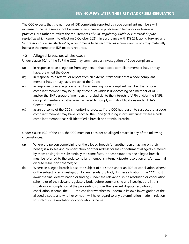The CCC expects that the number of IDR complaints reported by code compliant members will increase in the next survey, not because of an increase in problematic behaviour or business practices, but rather to reflect the requirements of *ASIC Regulatory Guide 271: Internal dispute resolution* which came into effect on 5 October 2021. In accordance with RG 271, going forward any "expression of dis-satisfaction" by a customer is to be recorded as a complaint, which may materially increase the number of IDR matters reported.

#### 7.2 Alleged breaches of the Code

Under clause 10.1 of the ToR the CCC may commence an investigation of Code compliance:

- (a) in response to an allegation from any person that a code compliant member has, or may have, breached the Code;
- (b) in response to a referral or report from an external stakeholder that a code compliant member has, or may have, breached the Code;
- (c) in response to an allegation raised by an existing code compliant member that a code compliant member may be guilty of conduct which is unbecoming of a member of AFIA and/or the BNPL group of members or prejudicial to the interests of AFIA and/or the BNPL group of members or otherwise has failed to comply with its obligations under AFIA's Constitution; or
- (d) as an outcome of the CCC's monitoring process, if the CCC has reason to suspect that a code compliant member may have breached the Code (including in circumstances where a code compliant member has self-identified a breach or potential breach).

Under clause 10.2 of the ToR, the CCC must not consider an alleged breach in any of the following circumstances:

- (a) Where the person complaining of the alleged breach (or another person acting on their behalf) is also seeking compensation or other redress for loss or detriment allegedly suffered by them arising from substantially the same facts. In these situations, the alleged breach must be referred to the code compliant member's internal dispute resolution and/or external dispute resolution schemes; or
- (b) Where an alleged breach is also the subject of a dispute under an EDR or conciliation scheme or the subject of an investigation by any regulatory body. In these situations, the CCC must await the final determination or findings under the relevant dispute resolution or conciliation scheme or of the relevant regulatory body before commencing any investigation. In this situation, on completion of the proceedings under the relevant dispute resolution or conciliation scheme, the CCC can consider whether to undertake its own investigation of the alleged dispute and whether or not it will have regard to any determination made in relation to such dispute resolution or conciliation scheme.